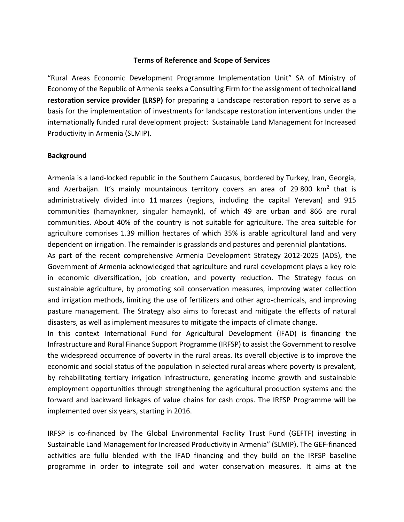#### **Terms of Reference and Scope of Services**

"Rural Areas Economic Development Programme Implementation Unit" SA of Ministry of Economy of the Republic of Armenia seeks a Consulting Firm for the assignment of technical **land restoration service provider (LRSP)** for preparing a Landscape restoration report to serve as a basis for the implementation of investments for landscape restoration interventions under the internationally funded rural development project: Sustainable Land Management for Increased Productivity in Armenia (SLMIP).

#### **Background**

Armenia is a land-locked republic in the Southern Caucasus, bordered by Turkey, Iran, Georgia, and Azerbaijan. It's mainly mountainous territory covers an area of 29 800 km<sup>2</sup> that is administratively divided into 11 marzes (regions, including the capital Yerevan) and 915 communities (hamaynkner, singular hamaynk), of which 49 are urban and 866 are rural communities. About 40% of the country is not suitable for agriculture. The area suitable for agriculture comprises 1.39 million hectares of which 35% is arable agricultural land and very dependent on irrigation. The remainder is grasslands and pastures and perennial plantations.

As part of the recent comprehensive Armenia Development Strategy 2012-2025 (ADS), the Government of Armenia acknowledged that agriculture and rural development plays a key role in economic diversification, job creation, and poverty reduction. The Strategy focus on sustainable agriculture, by promoting soil conservation measures, improving water collection and irrigation methods, limiting the use of fertilizers and other agro-chemicals, and improving pasture management. The Strategy also aims to forecast and mitigate the effects of natural disasters, as well as implement measures to mitigate the impacts of climate change.

In this context International Fund for Agricultural Development (IFAD) is financing the Infrastructure and Rural Finance Support Programme (IRFSP) to assist the Government to resolve the widespread occurrence of poverty in the rural areas. Its overall objective is to improve the economic and social status of the population in selected rural areas where poverty is prevalent, by rehabilitating tertiary irrigation infrastructure, generating income growth and sustainable employment opportunities through strengthening the agricultural production systems and the forward and backward linkages of value chains for cash crops. The IRFSP Programme will be implemented over six years, starting in 2016.

IRFSP is co-financed by The Global Environmental Facility Trust Fund (GEFTF) investing in Sustainable Land Management for Increased Productivity in Armenia" (SLMIP). The GEF-financed activities are fullu blended with the IFAD financing and they build on the IRFSP baseline programme in order to integrate soil and water conservation measures. It aims at the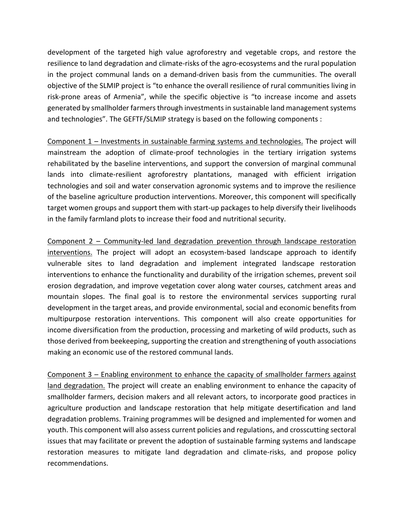development of the targeted high value agroforestry and vegetable crops, and restore the resilience to land degradation and climate-risks of the agro-ecosystems and the rural population in the project communal lands on a demand-driven basis from the cummunities. The overall objective of the SLMIP project is "to enhance the overall resilience of rural communities living in risk-prone areas of Armenia", while the specific objective is "to increase income and assets generated by smallholder farmers through investments in sustainable land management systems and technologies". The GEFTF/SLMIP strategy is based on the following components :

Component 1 – Investments in sustainable farming systems and technologies. The project will mainstream the adoption of climate-proof technologies in the tertiary irrigation systems rehabilitated by the baseline interventions, and support the conversion of marginal communal lands into climate-resilient agroforestry plantations, managed with efficient irrigation technologies and soil and water conservation agronomic systems and to improve the resilience of the baseline agriculture production interventions. Moreover, this component will specifically target women groups and support them with start-up packages to help diversify their livelihoods in the family farmland plots to increase their food and nutritional security.

Component 2 – Community-led land degradation prevention through landscape restoration interventions. The project will adopt an ecosystem-based landscape approach to identify vulnerable sites to land degradation and implement integrated landscape restoration interventions to enhance the functionality and durability of the irrigation schemes, prevent soil erosion degradation, and improve vegetation cover along water courses, catchment areas and mountain slopes. The final goal is to restore the environmental services supporting rural development in the target areas, and provide environmental, social and economic benefits from multipurpose restoration interventions. This component will also create opportunities for income diversification from the production, processing and marketing of wild products, such as those derived from beekeeping, supporting the creation and strengthening of youth associations making an economic use of the restored communal lands.

Component 3 – Enabling environment to enhance the capacity of smallholder farmers against land degradation. The project will create an enabling environment to enhance the capacity of smallholder farmers, decision makers and all relevant actors, to incorporate good practices in agriculture production and landscape restoration that help mitigate desertification and land degradation problems. Training programmes will be designed and implemented for women and youth. This component will also assess current policies and regulations, and crosscutting sectoral issues that may facilitate or prevent the adoption of sustainable farming systems and landscape restoration measures to mitigate land degradation and climate-risks, and propose policy recommendations.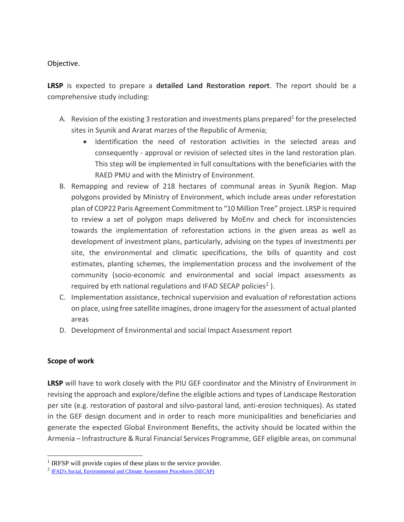Objective.

**LRSP** is expected to prepare a **detailed Land Restoration report**. The report should be a comprehensive study including:

- A. Revision of the existing 3 restoration and investments plans prepared<sup>1</sup> for the preselected sites in Syunik and Ararat marzes of the Republic of Armenia;
	- Identification the need of restoration activities in the selected areas and consequently - approval or revision of selected sites in the land restoration plan. This step will be implemented in full consultations with the beneficiaries with the RAED PMU and with the Ministry of Environment.
- B. Remapping and review of 218 hectares of communal areas in Syunik Region. Map polygons provided by Ministry of Environment, which include areas under reforestation plan of COP22 Paris Agreement Commitment to "10 Million Tree" project. LRSP is required to review a set of polygon maps delivered by MoEnv and check for inconsistencies towards the implementation of reforestation actions in the given areas as well as development of investment plans, particularly, advising on the types of investments per site, the environmental and climatic specifications, the bills of quantity and cost estimates, planting schemes, the implementation process and the involvement of the community (socio-economic and environmental and social impact assessments as required by eth national regulations and IFAD SECAP policies<sup>2</sup>).
- C. Implementation assistance, technical supervision and evaluation of reforestation actions on place, using free satellite imagines, drone imagery for the assessment of actual planted areas
- D. Development of Environmental and social Impact Assessment report

### **Scope of work**

 $\overline{a}$ 

**LRSP** will have to work closely with the PIU GEF coordinator and the Ministry of Environment in revising the approach and explore/define the eligible actions and types of Landscape Restoration per site (e.g. restoration of pastoral and silvo-pastoral land, anti-erosion techniques). As stated in the GEF design document and in order to reach more municipalities and beneficiaries and generate the expected Global Environment Benefits, the activity should be located within the Armenia – Infrastructure & Rural Financial Services Programme, GEF eligible areas, on communal

<sup>&</sup>lt;sup>1</sup> IRFSP will provide copies of these plans to the service provider.

<sup>&</sup>lt;sup>2</sup> [IFAD's Social, Environmental and Climate Assessment Procedures \(SECAP\)](https://www.ifad.org/en/-/document/social-environmental-and-climate-assessment-procedures-secap-)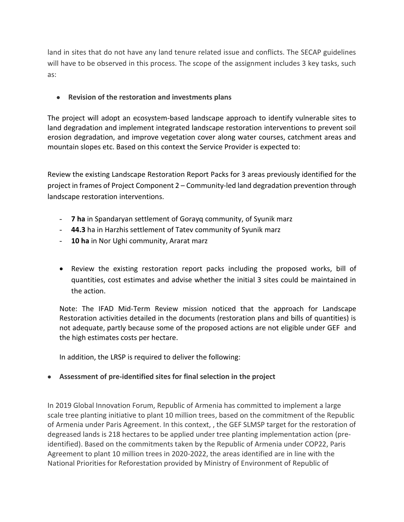land in sites that do not have any land tenure related issue and conflicts. The SECAP guidelines will have to be observed in this process. The scope of the assignment includes 3 key tasks, such as:

## **Revision of the restoration and investments plans**

The project will adopt an ecosystem-based landscape approach to identify vulnerable sites to land degradation and implement integrated landscape restoration interventions to prevent soil erosion degradation, and improve vegetation cover along water courses, catchment areas and mountain slopes etc. Based on this context the Service Provider is expected to:

Review the existing Landscape Restoration Report Packs for 3 areas previously identified for the project in frames of Project Component 2 – Community-led land degradation prevention through landscape restoration interventions.

- **7 ha** in Spandaryan settlement of Gorayq community, of Syunik marz
- **44.3** ha in Harzhis settlement of Tatev community of Syunik marz
- **10 ha** in Nor Ughi community, Ararat marz
- Review the existing restoration report packs including the proposed works, bill of quantities, cost estimates and advise whether the initial 3 sites could be maintained in the action.

Note: The IFAD Mid-Term Review mission noticed that the approach for Landscape Restoration activities detailed in the documents (restoration plans and bills of quantities) is not adequate, partly because some of the proposed actions are not eligible under GEF and the high estimates costs per hectare.

In addition, the LRSP is required to deliver the following:

**Assessment of pre-identified sites for final selection in the project**

In 2019 Global Innovation Forum, Republic of Armenia has committed to implement a large scale tree planting initiative to plant 10 million trees, based on the commitment of the Republic of Armenia under Paris Agreement. In this context, , the GEF SLMSP target for the restoration of degreased lands is 218 hectares to be applied under tree planting implementation action (preidentified). Based on the commitments taken by the Republic of Armenia under COP22, Paris Agreement to plant 10 million trees in 2020-2022, the areas identified are in line with the National Priorities for Reforestation provided by Ministry of Environment of Republic of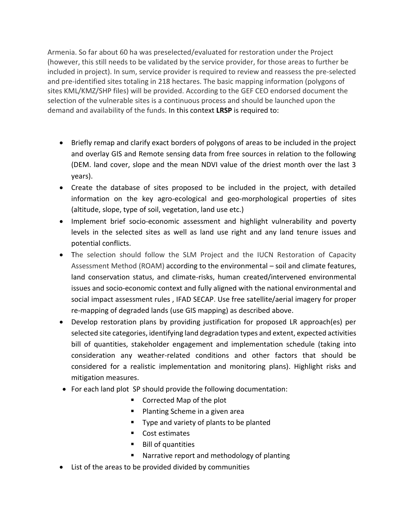Armenia. So far about 60 ha was preselected/evaluated for restoration under the Project (however, this still needs to be validated by the service provider, for those areas to further be included in project). In sum, service provider is required to review and reassess the pre-selected and pre-identified sites totaling in 218 hectares. The basic mapping information (polygons of sites KML/KMZ/SHP files) will be provided. According to the GEF CEO endorsed document the selection of the vulnerable sites is a continuous process and should be launched upon the demand and availability of the funds. In this context **LRSP** is required to:

- Briefly remap and clarify exact borders of polygons of areas to be included in the project and overlay GIS and Remote sensing data from free sources in relation to the following (DEM. land cover, slope and the mean NDVI value of the driest month over the last 3 years).
- Create the database of sites proposed to be included in the project, with detailed information on the key agro-ecological and geo-morphological properties of sites (altitude, slope, type of soil, vegetation, land use etc.)
- Implement brief socio-economic assessment and highlight vulnerability and poverty levels in the selected sites as well as land use right and any land tenure issues and potential conflicts.
- The selection should follow the SLM Project and the IUCN Restoration of Capacity Assessment Method (ROAM) according to the environmental – soil and climate features, land conservation status, and climate-risks, human created/intervened environmental issues and socio-economic context and fully aligned with the national environmental and social impact assessment rules , IFAD SECAP. Use free satellite/aerial imagery for proper re-mapping of degraded lands (use GIS mapping) as described above.
- Develop restoration plans by providing justification for proposed LR approach(es) per selected site categories, identifying land degradation types and extent, expected activities bill of quantities, stakeholder engagement and implementation schedule (taking into consideration any weather-related conditions and other factors that should be considered for a realistic implementation and monitoring plans). Highlight risks and mitigation measures.
- For each land plot SP should provide the following documentation:
	- Corrected Map of the plot
	- **Planting Scheme in a given area**
	- Type and variety of plants to be planted
	- Cost estimates
	- Bill of quantities
	- **Narrative report and methodology of planting**
- List of the areas to be provided divided by communities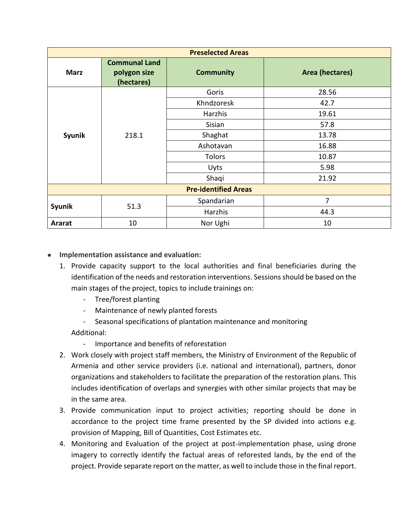| <b>Preselected Areas</b>    |                                                    |                  |                 |  |  |  |  |  |  |  |
|-----------------------------|----------------------------------------------------|------------------|-----------------|--|--|--|--|--|--|--|
| <b>Marz</b>                 | <b>Communal Land</b><br>polygon size<br>(hectares) | <b>Community</b> | Area (hectares) |  |  |  |  |  |  |  |
| Syunik                      | 218.1                                              | Goris            | 28.56           |  |  |  |  |  |  |  |
|                             |                                                    | Khndzoresk       | 42.7            |  |  |  |  |  |  |  |
|                             |                                                    | Harzhis          | 19.61           |  |  |  |  |  |  |  |
|                             |                                                    | Sisian           | 57.8            |  |  |  |  |  |  |  |
|                             |                                                    | Shaghat          | 13.78           |  |  |  |  |  |  |  |
|                             |                                                    | Ashotavan        | 16.88           |  |  |  |  |  |  |  |
|                             |                                                    | <b>Tolors</b>    | 10.87           |  |  |  |  |  |  |  |
|                             |                                                    | <b>Uyts</b>      | 5.98            |  |  |  |  |  |  |  |
|                             |                                                    | Shaqi            | 21.92           |  |  |  |  |  |  |  |
| <b>Pre-identified Areas</b> |                                                    |                  |                 |  |  |  |  |  |  |  |
| Syunik                      |                                                    | Spandarian       | 7               |  |  |  |  |  |  |  |
|                             | 51.3                                               | Harzhis          | 44.3            |  |  |  |  |  |  |  |
| Ararat                      | 10                                                 | Nor Ughi         | 10              |  |  |  |  |  |  |  |

### **Implementation assistance and evaluation:**

- 1. Provide capacity support to the local authorities and final beneficiaries during the identification of the needs and restoration interventions. Sessions should be based on the main stages of the project, topics to include trainings on:
	- Tree/forest planting
	- Maintenance of newly planted forests
	- Seasonal specifications of plantation maintenance and monitoring

Additional:

- Importance and benefits of reforestation
- 2. Work closely with project staff members, the Ministry of Environment of the Republic of Armenia and other service providers (i.e. national and international), partners, donor organizations and stakeholders to facilitate the preparation of the restoration plans. This includes identification of overlaps and synergies with other similar projects that may be in the same area.
- 3. Provide communication input to project activities; reporting should be done in accordance to the project time frame presented by the SP divided into actions e.g. provision of Mapping, Bill of Quantities, Cost Estimates etc.
- 4. Monitoring and Evaluation of the project at post-implementation phase, using drone imagery to correctly identify the factual areas of reforested lands, by the end of the project. Provide separate report on the matter, as well to include those in the final report.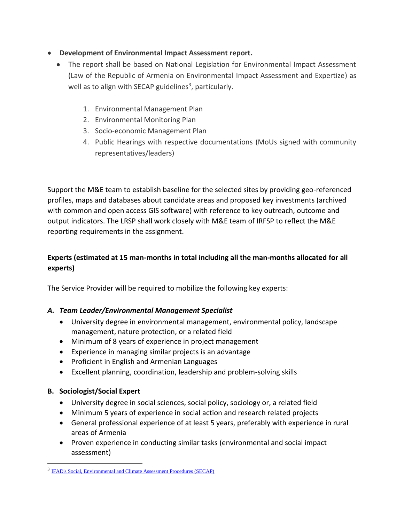## **Development of Environmental Impact Assessment report.**

- The report shall be based on National Legislation for Environmental Impact Assessment (Law of the Republic of Armenia on Environmental Impact Assessment and Expertize) as well as to align with SECAP guidelines<sup>3</sup>, particularly.
	- 1. Environmental Management Plan
	- 2. Environmental Monitoring Plan
	- 3. Socio-economic Management Plan
	- 4. Public Hearings with respective documentations (MoUs signed with community representatives/leaders)

Support the M&E team to establish baseline for the selected sites by providing geo-referenced profiles, maps and databases about candidate areas and proposed key investments (archived with common and open access GIS software) with reference to key outreach, outcome and output indicators. The LRSP shall work closely with M&E team of IRFSP to reflect the M&E reporting requirements in the assignment.

# **Experts (estimated at 15 man-months in total including all the man-months allocated for all experts)**

The Service Provider will be required to mobilize the following key experts:

### *A. Team Leader/Environmental Management Specialist*

- University degree in environmental management, environmental policy, landscape management, nature protection, or a related field
- Minimum of 8 years of experience in project management
- Experience in managing similar projects is an advantage
- Proficient in English and Armenian Languages
- Excellent planning, coordination, leadership and problem-solving skills

### **B. Sociologist/Social Expert**

 $\overline{a}$ 

- University degree in social sciences, social policy, sociology or, a related field
- Minimum 5 years of experience in social action and research related projects
- General professional experience of at least 5 years, preferably with experience in rural areas of Armenia
- Proven experience in conducting similar tasks (environmental and social impact assessment)

<sup>&</sup>lt;sup>3</sup> [IFAD's Social, Environmental and Climate Assessment Procedures \(SECAP\)](https://www.ifad.org/en/-/document/social-environmental-and-climate-assessment-procedures-secap-)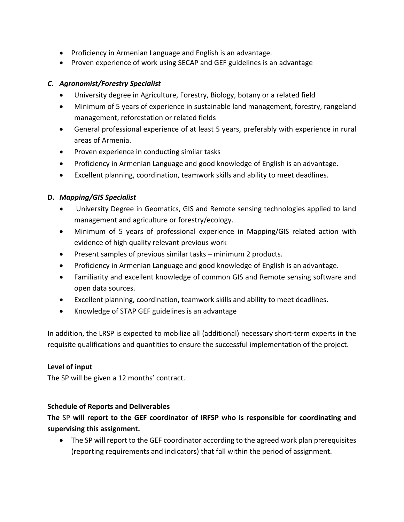- Proficiency in Armenian Language and English is an advantage.
- Proven experience of work using SECAP and GEF guidelines is an advantage

### *C. Agronomist/Forestry Specialist*

- University degree in Agriculture, Forestry, Biology, botany or a related field
- Minimum of 5 years of experience in sustainable land management, forestry, rangeland management, reforestation or related fields
- General professional experience of at least 5 years, preferably with experience in rural areas of Armenia.
- Proven experience in conducting similar tasks
- Proficiency in Armenian Language and good knowledge of English is an advantage.
- Excellent planning, coordination, teamwork skills and ability to meet deadlines.

### **D.** *Mapping/GIS Specialist*

- University Degree in Geomatics, GIS and Remote sensing technologies applied to land management and agriculture or forestry/ecology.
- Minimum of 5 years of professional experience in Mapping/GIS related action with evidence of high quality relevant previous work
- Present samples of previous similar tasks minimum 2 products.
- Proficiency in Armenian Language and good knowledge of English is an advantage.
- Familiarity and excellent knowledge of common GIS and Remote sensing software and open data sources.
- Excellent planning, coordination, teamwork skills and ability to meet deadlines.
- Knowledge of STAP GEF guidelines is an advantage

In addition, the LRSP is expected to mobilize all (additional) necessary short-term experts in the requisite qualifications and quantities to ensure the successful implementation of the project.

### **Level of input**

The SP will be given a 12 months' contract.

### **Schedule of Reports and Deliverables**

**The** SP **will report to the GEF coordinator of IRFSP who is responsible for coordinating and supervising this assignment.** 

 The SP will report to the GEF coordinator according to the agreed work plan prerequisites (reporting requirements and indicators) that fall within the period of assignment.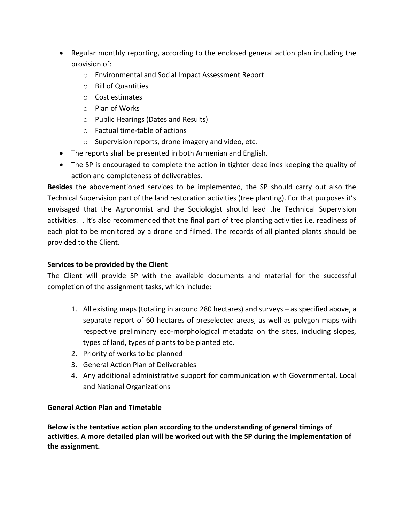- Regular monthly reporting, according to the enclosed general action plan including the provision of:
	- o Environmental and Social Impact Assessment Report
	- o Bill of Quantities
	- o Cost estimates
	- o Plan of Works
	- o Public Hearings (Dates and Results)
	- o Factual time-table of actions
	- o Supervision reports, drone imagery and video, etc.
- The reports shall be presented in both Armenian and English.
- The SP is encouraged to complete the action in tighter deadlines keeping the quality of action and completeness of deliverables.

**Besides** the abovementioned services to be implemented, the SP should carry out also the Technical Supervision part of the land restoration activities (tree planting). For that purposes it's envisaged that the Agronomist and the Sociologist should lead the Technical Supervision activities. . It's also recommended that the final part of tree planting activities i.e. readiness of each plot to be monitored by a drone and filmed. The records of all planted plants should be provided to the Client.

# **Services to be provided by the Client**

The Client will provide SP with the available documents and material for the successful completion of the assignment tasks, which include:

- 1. All existing maps (totaling in around 280 hectares) and surveys as specified above, a separate report of 60 hectares of preselected areas, as well as polygon maps with respective preliminary eco-morphological metadata on the sites, including slopes, types of land, types of plants to be planted etc.
- 2. Priority of works to be planned
- 3. General Action Plan of Deliverables
- 4. Any additional administrative support for communication with Governmental, Local and National Organizations

# **General Action Plan and Timetable**

**Below is the tentative action plan according to the understanding of general timings of activities. A more detailed plan will be worked out with the SP during the implementation of the assignment.**